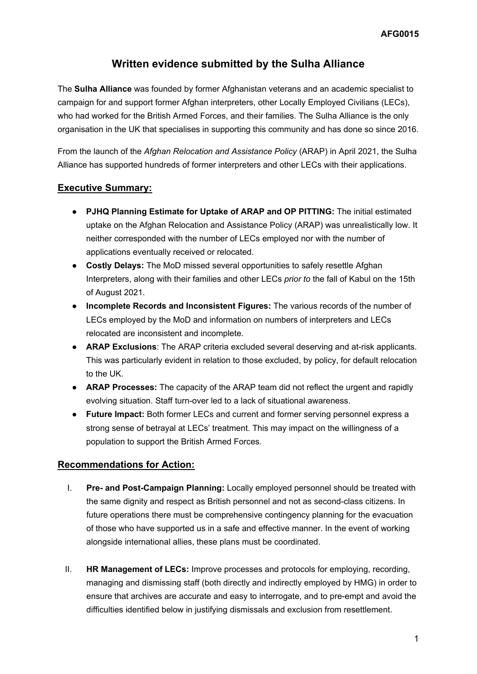# **Written evidence submitted by the Sulha Alliance**

The **Sulha Alliance** was founded by former Afghanistan veterans and an academic specialist to campaign for and support former Afghan interpreters, other Locally Employed Civilians (LECs), who had worked for the British Armed Forces, and their families. The Sulha Alliance is the only organisation in the UK that specialises in supporting this community and has done so since 2016.

From the launch of the *Afghan Relocation and Assistance Policy* (ARAP) in April 2021, the Sulha Alliance has supported hundreds of former interpreters and other LECs with their applications.

### **Executive Summary:**

- **PJHQ Planning Estimate for Uptake of ARAP and OP PITTING:** The initial estimated uptake on the Afghan Relocation and Assistance Policy (ARAP) was unrealistically low. It neither corresponded with the number of LECs employed nor with the number of applications eventually received or relocated.
- **Costly Delays:** The MoD missed several opportunities to safely resettle Afghan Interpreters, along with their families and other LECs *prior to* the fall of Kabul on the 15th of August 2021.
- **Incomplete Records and Inconsistent Figures:** The various records of the number of LECs employed by the MoD and information on numbers of interpreters and LECs relocated are inconsistent and incomplete.
- **ARAP Exclusions**: The ARAP criteria excluded several deserving and at-risk applicants. This was particularly evident in relation to those excluded, by policy, for default relocation to the UK.
- **ARAP Processes:** The capacity of the ARAP team did not reflect the urgent and rapidly evolving situation. Staff turn-over led to a lack of situational awareness.
- **Future Impact:** Both former LECs and current and former serving personnel express a strong sense of betrayal at LECs' treatment. This may impact on the willingness of a population to support the British Armed Forces.

### **Recommendations for Action:**

- I. **Pre- and Post-Campaign Planning:** Locally employed personnel should be treated with the same dignity and respect as British personnel and not as second-class citizens. In future operations there must be comprehensive contingency planning for the evacuation of those who have supported us in a safe and effective manner. In the event of working alongside international allies, these plans must be coordinated.
- II. **HR Management of LECs:** Improve processes and protocols for employing, recording, managing and dismissing staff (both directly and indirectly employed by HMG) in order to ensure that archives are accurate and easy to interrogate, and to pre-empt and avoid the difficulties identified below in justifying dismissals and exclusion from resettlement.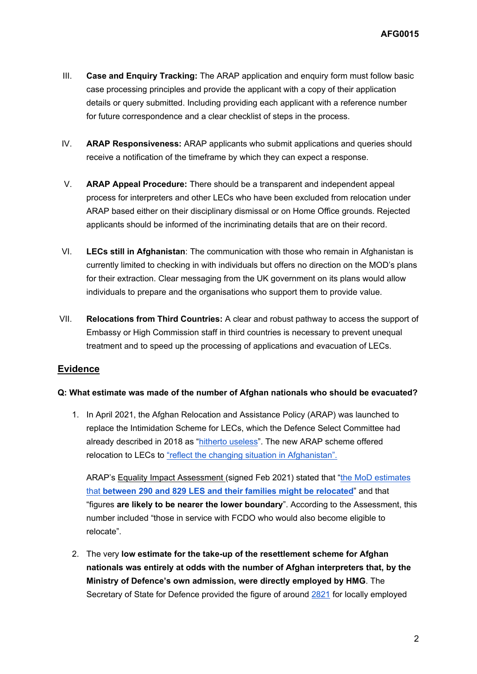- III. **Case and Enquiry Tracking:** The ARAP application and enquiry form must follow basic case processing principles and provide the applicant with a copy of their application details or query submitted. Including providing each applicant with a reference number for future correspondence and a clear checklist of steps in the process.
- IV. **ARAP Responsiveness:** ARAP applicants who submit applications and queries should receive a notification of the timeframe by which they can expect a response.
- V. **ARAP Appeal Procedure:** There should be a transparent and independent appeal process for interpreters and other LECs who have been excluded from relocation under ARAP based either on their disciplinary dismissal or on Home Office grounds. Rejected applicants should be informed of the incriminating details that are on their record.
- VI. **LECs still in Afghanistan**: The communication with those who remain in Afghanistan is currently limited to checking in with individuals but offers no direction on the MOD's plans for their extraction. Clear messaging from the UK government on its plans would allow individuals to prepare and the organisations who support them to provide value.
- VII. **Relocations from Third Countries:** A clear and robust pathway to access the support of Embassy or High Commission staff in third countries is necessary to prevent unequal treatment and to speed up the processing of applications and evacuation of LECs.

### **Evidence**

### **Q: What estimate was made of the number of Afghan nationals who should be evacuated?**

1. In April 2021, the Afghan Relocation and Assistance Policy (ARAP) was launched to replace the Intimidation Scheme for LECs, which the Defence Select Committee had already described in 2018 as "[hitherto](https://publications.parliament.uk/pa/cm201719/cmselect/cmdfence/572/572.pdf) [useless](https://publications.parliament.uk/pa/cm201719/cmselect/cmdfence/572/572.pdf)". The new ARAP scheme offered relocation to LECs to ["reflect](https://www.gov.uk/government/publications/afghan-relocations-and-assistance-policy/afghan-relocations-and-assistance-policy-information-and-guidance) [the](https://www.gov.uk/government/publications/afghan-relocations-and-assistance-policy/afghan-relocations-and-assistance-policy-information-and-guidance) [changing](https://www.gov.uk/government/publications/afghan-relocations-and-assistance-policy/afghan-relocations-and-assistance-policy-information-and-guidance) [situation](https://www.gov.uk/government/publications/afghan-relocations-and-assistance-policy/afghan-relocations-and-assistance-policy-information-and-guidance) [in](https://www.gov.uk/government/publications/afghan-relocations-and-assistance-policy/afghan-relocations-and-assistance-policy-information-and-guidance) [Afghanistan".](https://www.gov.uk/government/publications/afghan-relocations-and-assistance-policy/afghan-relocations-and-assistance-policy-information-and-guidance)

ARAP's [Equality](https://assets.publishing.service.gov.uk/government/uploads/system/uploads/attachment_data/file/966658/Afghan_LES_EIA.pdf) [Impact](https://assets.publishing.service.gov.uk/government/uploads/system/uploads/attachment_data/file/966658/Afghan_LES_EIA.pdf) [Assessment](https://assets.publishing.service.gov.uk/government/uploads/system/uploads/attachment_data/file/966658/Afghan_LES_EIA.pdf) [\(](https://assets.publishing.service.gov.uk/government/uploads/system/uploads/attachment_data/file/966658/Afghan_LES_EIA.pdf)signed Feb 2021) stated that ["the](https://assets.publishing.service.gov.uk/government/uploads/system/uploads/attachment_data/file/966658/Afghan_LES_EIA.pdf) [MoD](https://assets.publishing.service.gov.uk/government/uploads/system/uploads/attachment_data/file/966658/Afghan_LES_EIA.pdf) [estimates](https://assets.publishing.service.gov.uk/government/uploads/system/uploads/attachment_data/file/966658/Afghan_LES_EIA.pdf) [that](https://assets.publishing.service.gov.uk/government/uploads/system/uploads/attachment_data/file/966658/Afghan_LES_EIA.pdf) **[between](https://assets.publishing.service.gov.uk/government/uploads/system/uploads/attachment_data/file/966658/Afghan_LES_EIA.pdf) [290](https://assets.publishing.service.gov.uk/government/uploads/system/uploads/attachment_data/file/966658/Afghan_LES_EIA.pdf) [and](https://assets.publishing.service.gov.uk/government/uploads/system/uploads/attachment_data/file/966658/Afghan_LES_EIA.pdf) [829](https://assets.publishing.service.gov.uk/government/uploads/system/uploads/attachment_data/file/966658/Afghan_LES_EIA.pdf) [LES](https://assets.publishing.service.gov.uk/government/uploads/system/uploads/attachment_data/file/966658/Afghan_LES_EIA.pdf) [and](https://assets.publishing.service.gov.uk/government/uploads/system/uploads/attachment_data/file/966658/Afghan_LES_EIA.pdf) [their](https://assets.publishing.service.gov.uk/government/uploads/system/uploads/attachment_data/file/966658/Afghan_LES_EIA.pdf) [families](https://assets.publishing.service.gov.uk/government/uploads/system/uploads/attachment_data/file/966658/Afghan_LES_EIA.pdf) [might](https://assets.publishing.service.gov.uk/government/uploads/system/uploads/attachment_data/file/966658/Afghan_LES_EIA.pdf) [be](https://assets.publishing.service.gov.uk/government/uploads/system/uploads/attachment_data/file/966658/Afghan_LES_EIA.pdf) [relocated](https://assets.publishing.service.gov.uk/government/uploads/system/uploads/attachment_data/file/966658/Afghan_LES_EIA.pdf)**" and that "figures **are likely to be nearer the lower boundary**". According to the Assessment, this number included "those in service with FCDO who would also become eligible to relocate".

2. The very **low estimate for the take-up of the resettlement scheme for Afghan nationals was entirely at odds with the number of Afghan interpreters that, by the Ministry of Defence's own admission, were directly employed by HMG**. The Secretary of State for Defence provided the figure of around [2821](https://questions-statements.parliament.uk/written-questions/detail/2021-06-15/16036) for locally employed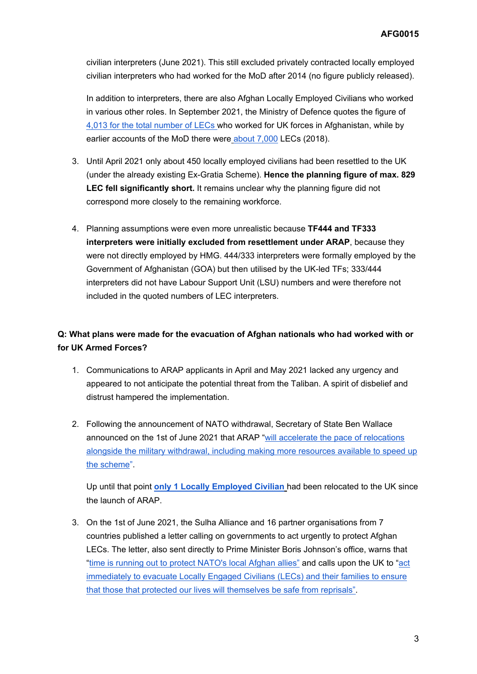civilian interpreters (June 2021). This still excluded privately contracted locally employed civilian interpreters who had worked for the MoD after 2014 (no figure publicly released).

In addition to interpreters, there are also Afghan Locally Employed Civilians who worked in various other roles. In September 2021, the Ministry of Defence quotes the figure of [4,013](https://questions-statements.parliament.uk/written-questions/detail/2021-08-18/40914) [for](https://questions-statements.parliament.uk/written-questions/detail/2021-08-18/40914) [the](https://questions-statements.parliament.uk/written-questions/detail/2021-08-18/40914) [total](https://questions-statements.parliament.uk/written-questions/detail/2021-08-18/40914) [number](https://questions-statements.parliament.uk/written-questions/detail/2021-08-18/40914) [of](https://questions-statements.parliament.uk/written-questions/detail/2021-08-18/40914) [LECs](https://questions-statements.parliament.uk/written-questions/detail/2021-08-18/40914) who worked for UK forces in Afghanistan, while by earlier accounts of the MoD there were [about](https://publications.parliament.uk/pa/cm201719/cmselect/cmdfence/572/572.pdf) [7,000](https://publications.parliament.uk/pa/cm201719/cmselect/cmdfence/572/572.pdf) LECs (2018).

- 3. Until April 2021 only about 450 locally employed civilians had been resettled to the UK (under the already existing Ex-Gratia Scheme). **Hence the planning figure of max. 829 LEC fell significantly short.** It remains unclear why the planning figure did not correspond more closely to the remaining workforce.
- 4. Planning assumptions were even more unrealistic because **TF444 and TF333 interpreters were initially excluded from resettlement under ARAP**, because they were not directly employed by HMG. 444/333 interpreters were formally employed by the Government of Afghanistan (GOA) but then utilised by the UK-led TFs; 333/444 interpreters did not have Labour Support Unit (LSU) numbers and were therefore not included in the quoted numbers of LEC interpreters.

## **Q: What plans were made for the evacuation of Afghan nationals who had worked with or for UK Armed Forces?**

- 1. Communications to ARAP applicants in April and May 2021 lacked any urgency and appeared to not anticipate the potential threat from the Taliban. A spirit of disbelief and distrust hampered the implementation.
- 2. Following the announcement of NATO withdrawal, Secretary of State Ben Wallace announced on the 1st of June 2021 that ARAP "[will](https://www.gov.uk/government/news/plans-to-bring-vulnerable-afghan-interpreters-to-the-uk-accelerated) [accelerate](https://www.gov.uk/government/news/plans-to-bring-vulnerable-afghan-interpreters-to-the-uk-accelerated) [the](https://www.gov.uk/government/news/plans-to-bring-vulnerable-afghan-interpreters-to-the-uk-accelerated) [pace](https://www.gov.uk/government/news/plans-to-bring-vulnerable-afghan-interpreters-to-the-uk-accelerated) [of](https://www.gov.uk/government/news/plans-to-bring-vulnerable-afghan-interpreters-to-the-uk-accelerated) [relocations](https://www.gov.uk/government/news/plans-to-bring-vulnerable-afghan-interpreters-to-the-uk-accelerated) [alongside](https://www.gov.uk/government/news/plans-to-bring-vulnerable-afghan-interpreters-to-the-uk-accelerated) [the](https://www.gov.uk/government/news/plans-to-bring-vulnerable-afghan-interpreters-to-the-uk-accelerated) [military](https://www.gov.uk/government/news/plans-to-bring-vulnerable-afghan-interpreters-to-the-uk-accelerated) [withdrawal,](https://www.gov.uk/government/news/plans-to-bring-vulnerable-afghan-interpreters-to-the-uk-accelerated) [including](https://www.gov.uk/government/news/plans-to-bring-vulnerable-afghan-interpreters-to-the-uk-accelerated) [making](https://www.gov.uk/government/news/plans-to-bring-vulnerable-afghan-interpreters-to-the-uk-accelerated) [more](https://www.gov.uk/government/news/plans-to-bring-vulnerable-afghan-interpreters-to-the-uk-accelerated) [resources](https://www.gov.uk/government/news/plans-to-bring-vulnerable-afghan-interpreters-to-the-uk-accelerated) [available](https://www.gov.uk/government/news/plans-to-bring-vulnerable-afghan-interpreters-to-the-uk-accelerated) [to](https://www.gov.uk/government/news/plans-to-bring-vulnerable-afghan-interpreters-to-the-uk-accelerated) [speed](https://www.gov.uk/government/news/plans-to-bring-vulnerable-afghan-interpreters-to-the-uk-accelerated) [up](https://www.gov.uk/government/news/plans-to-bring-vulnerable-afghan-interpreters-to-the-uk-accelerated) [the](https://www.gov.uk/government/news/plans-to-bring-vulnerable-afghan-interpreters-to-the-uk-accelerated) [scheme](https://www.gov.uk/government/news/plans-to-bring-vulnerable-afghan-interpreters-to-the-uk-accelerated)".

Up until that point **[only](https://questions-statements.parliament.uk/written-questions/detail/2021-09-07/44193) [1](https://questions-statements.parliament.uk/written-questions/detail/2021-09-07/44193) [Locally](https://questions-statements.parliament.uk/written-questions/detail/2021-09-07/44193) [Employed](https://questions-statements.parliament.uk/written-questions/detail/2021-09-07/44193) [Civilian](https://questions-statements.parliament.uk/written-questions/detail/2021-09-07/44193)** had been relocated to the UK since the launch of ARAP.

3. On the 1st of June 2021, the Sulha Alliance and 16 partner organisations from 7 countries published a letter calling on governments to act urgently to protect Afghan LECs. The letter, also sent directly to Prime Minister Boris Johnson's office, warns that ["time](https://refugeerights.org/wp-content/uploads/2021/05/Letter-to-NATO-on-Afghan-LECs.pdf) [is](https://refugeerights.org/wp-content/uploads/2021/05/Letter-to-NATO-on-Afghan-LECs.pdf) [running](https://refugeerights.org/wp-content/uploads/2021/05/Letter-to-NATO-on-Afghan-LECs.pdf) [out](https://refugeerights.org/wp-content/uploads/2021/05/Letter-to-NATO-on-Afghan-LECs.pdf) [to](https://refugeerights.org/wp-content/uploads/2021/05/Letter-to-NATO-on-Afghan-LECs.pdf) [protect](https://refugeerights.org/wp-content/uploads/2021/05/Letter-to-NATO-on-Afghan-LECs.pdf) [NATO's](https://refugeerights.org/wp-content/uploads/2021/05/Letter-to-NATO-on-Afghan-LECs.pdf) [local](https://refugeerights.org/wp-content/uploads/2021/05/Letter-to-NATO-on-Afghan-LECs.pdf) [Afghan](https://refugeerights.org/wp-content/uploads/2021/05/Letter-to-NATO-on-Afghan-LECs.pdf) [allies"](https://refugeerights.org/wp-content/uploads/2021/05/Letter-to-NATO-on-Afghan-LECs.pdf) and calls upon the UK to ["act](https://refugeerights.org/wp-content/uploads/2021/05/Letter-to-NATO-on-Afghan-LECs.pdf) [immediately](https://refugeerights.org/wp-content/uploads/2021/05/Letter-to-NATO-on-Afghan-LECs.pdf) [to](https://refugeerights.org/wp-content/uploads/2021/05/Letter-to-NATO-on-Afghan-LECs.pdf) [evacuate](https://refugeerights.org/wp-content/uploads/2021/05/Letter-to-NATO-on-Afghan-LECs.pdf) [Locally](https://refugeerights.org/wp-content/uploads/2021/05/Letter-to-NATO-on-Afghan-LECs.pdf) [Engaged](https://refugeerights.org/wp-content/uploads/2021/05/Letter-to-NATO-on-Afghan-LECs.pdf) [Civilians](https://refugeerights.org/wp-content/uploads/2021/05/Letter-to-NATO-on-Afghan-LECs.pdf) [\(LECs\)](https://refugeerights.org/wp-content/uploads/2021/05/Letter-to-NATO-on-Afghan-LECs.pdf) [and](https://refugeerights.org/wp-content/uploads/2021/05/Letter-to-NATO-on-Afghan-LECs.pdf) [their](https://refugeerights.org/wp-content/uploads/2021/05/Letter-to-NATO-on-Afghan-LECs.pdf) [families](https://refugeerights.org/wp-content/uploads/2021/05/Letter-to-NATO-on-Afghan-LECs.pdf) [to](https://refugeerights.org/wp-content/uploads/2021/05/Letter-to-NATO-on-Afghan-LECs.pdf) [ensure](https://refugeerights.org/wp-content/uploads/2021/05/Letter-to-NATO-on-Afghan-LECs.pdf) [that](https://refugeerights.org/wp-content/uploads/2021/05/Letter-to-NATO-on-Afghan-LECs.pdf) [those](https://refugeerights.org/wp-content/uploads/2021/05/Letter-to-NATO-on-Afghan-LECs.pdf) [that](https://refugeerights.org/wp-content/uploads/2021/05/Letter-to-NATO-on-Afghan-LECs.pdf) [protected](https://refugeerights.org/wp-content/uploads/2021/05/Letter-to-NATO-on-Afghan-LECs.pdf) [our](https://refugeerights.org/wp-content/uploads/2021/05/Letter-to-NATO-on-Afghan-LECs.pdf) [lives](https://refugeerights.org/wp-content/uploads/2021/05/Letter-to-NATO-on-Afghan-LECs.pdf) [will](https://refugeerights.org/wp-content/uploads/2021/05/Letter-to-NATO-on-Afghan-LECs.pdf) [themselves](https://refugeerights.org/wp-content/uploads/2021/05/Letter-to-NATO-on-Afghan-LECs.pdf) [be](https://refugeerights.org/wp-content/uploads/2021/05/Letter-to-NATO-on-Afghan-LECs.pdf) [safe](https://refugeerights.org/wp-content/uploads/2021/05/Letter-to-NATO-on-Afghan-LECs.pdf) [from](https://refugeerights.org/wp-content/uploads/2021/05/Letter-to-NATO-on-Afghan-LECs.pdf) [reprisals"](https://refugeerights.org/wp-content/uploads/2021/05/Letter-to-NATO-on-Afghan-LECs.pdf).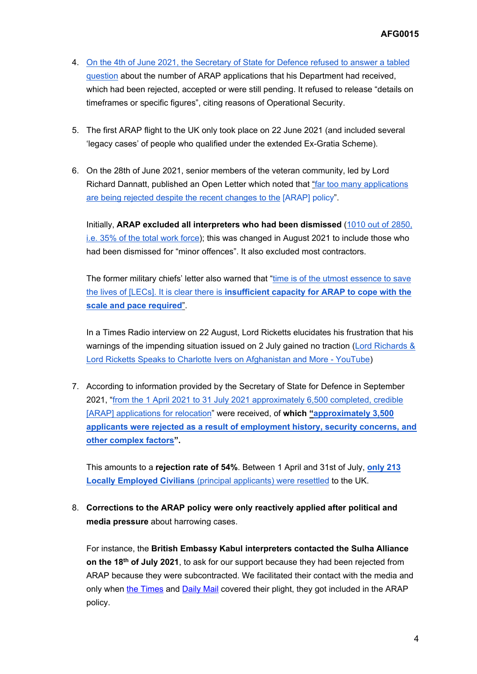- 4. [On](https://questions-statements.parliament.uk/written-questions/detail/2021-06-04/10390) [the](https://questions-statements.parliament.uk/written-questions/detail/2021-06-04/10390) [4th](https://questions-statements.parliament.uk/written-questions/detail/2021-06-04/10390) [of](https://questions-statements.parliament.uk/written-questions/detail/2021-06-04/10390) [June](https://questions-statements.parliament.uk/written-questions/detail/2021-06-04/10390) [2021,](https://questions-statements.parliament.uk/written-questions/detail/2021-06-04/10390) [the](https://questions-statements.parliament.uk/written-questions/detail/2021-06-04/10390) [Secretary](https://questions-statements.parliament.uk/written-questions/detail/2021-06-04/10390) [of](https://questions-statements.parliament.uk/written-questions/detail/2021-06-04/10390) [State](https://questions-statements.parliament.uk/written-questions/detail/2021-06-04/10390) [for](https://questions-statements.parliament.uk/written-questions/detail/2021-06-04/10390) [Defence](https://questions-statements.parliament.uk/written-questions/detail/2021-06-04/10390) [refused](https://questions-statements.parliament.uk/written-questions/detail/2021-06-04/10390) [to](https://questions-statements.parliament.uk/written-questions/detail/2021-06-04/10390) [answer](https://questions-statements.parliament.uk/written-questions/detail/2021-06-04/10390) [a](https://questions-statements.parliament.uk/written-questions/detail/2021-06-04/10390) [tabled](https://questions-statements.parliament.uk/written-questions/detail/2021-06-04/10390) [question](https://questions-statements.parliament.uk/written-questions/detail/2021-06-04/10390) about the number of ARAP applications that his Department had received, which had been rejected, accepted or were still pending. It refused to release "details on timeframes or specific figures", citing reasons of Operational Security.
- 5. The first ARAP flight to the UK only took place on 22 June 2021 (and included several 'legacy cases' of people who qualified under the extended Ex-Gratia Scheme).
- 6. On the 28th of June 2021, senior members of the veteran community, led by Lord Richard Dannatt, published an Open Letter which noted that ["far](https://www.forces.net/news/allow-more-afghan-interpreters-resettle-uk-ex-military-chiefs-urge) [too](https://www.forces.net/news/allow-more-afghan-interpreters-resettle-uk-ex-military-chiefs-urge) [many](https://www.forces.net/news/allow-more-afghan-interpreters-resettle-uk-ex-military-chiefs-urge) [applications](https://www.forces.net/news/allow-more-afghan-interpreters-resettle-uk-ex-military-chiefs-urge) [are](https://www.forces.net/news/allow-more-afghan-interpreters-resettle-uk-ex-military-chiefs-urge) [being](https://www.forces.net/news/allow-more-afghan-interpreters-resettle-uk-ex-military-chiefs-urge) [rejected](https://www.forces.net/news/allow-more-afghan-interpreters-resettle-uk-ex-military-chiefs-urge) [despite](https://www.forces.net/news/allow-more-afghan-interpreters-resettle-uk-ex-military-chiefs-urge) [the](https://www.forces.net/news/allow-more-afghan-interpreters-resettle-uk-ex-military-chiefs-urge) [recent](https://www.forces.net/news/allow-more-afghan-interpreters-resettle-uk-ex-military-chiefs-urge) [changes](https://www.forces.net/news/allow-more-afghan-interpreters-resettle-uk-ex-military-chiefs-urge) [to](https://www.forces.net/news/allow-more-afghan-interpreters-resettle-uk-ex-military-chiefs-urge) [the](https://www.forces.net/news/allow-more-afghan-interpreters-resettle-uk-ex-military-chiefs-urge) [ARAP] policy".

Initially, **ARAP excluded all interpreters who had been dismissed** ([1010](https://questions-statements.parliament.uk/written-questions/detail/2020-10-09/101279) [out](https://questions-statements.parliament.uk/written-questions/detail/2020-10-09/101279) [of](https://questions-statements.parliament.uk/written-questions/detail/2020-10-09/101279) [2850,](https://questions-statements.parliament.uk/written-questions/detail/2020-10-09/101279) [i.e.](https://questions-statements.parliament.uk/written-questions/detail/2020-10-09/101279) [35%](https://questions-statements.parliament.uk/written-questions/detail/2020-10-09/101279) [of](https://questions-statements.parliament.uk/written-questions/detail/2020-10-09/101279) [the](https://questions-statements.parliament.uk/written-questions/detail/2020-10-09/101279) [total](https://questions-statements.parliament.uk/written-questions/detail/2020-10-09/101279) [work](https://questions-statements.parliament.uk/written-questions/detail/2020-10-09/101279) [force](https://questions-statements.parliament.uk/written-questions/detail/2020-10-09/101279)); this was changed in August 2021 to include those who had been dismissed for "minor offences". It also excluded most contractors.

The former military chiefs' letter also warned that "[time](https://www.standard.co.uk/news/uk/johnny-mercer-ben-wallace-david-lynch-government-army-b948054.html) [is](https://www.standard.co.uk/news/uk/johnny-mercer-ben-wallace-david-lynch-government-army-b948054.html) [of](https://www.standard.co.uk/news/uk/johnny-mercer-ben-wallace-david-lynch-government-army-b948054.html) [the](https://www.standard.co.uk/news/uk/johnny-mercer-ben-wallace-david-lynch-government-army-b948054.html) [utmost](https://www.standard.co.uk/news/uk/johnny-mercer-ben-wallace-david-lynch-government-army-b948054.html) [essence](https://www.standard.co.uk/news/uk/johnny-mercer-ben-wallace-david-lynch-government-army-b948054.html) [to](https://www.standard.co.uk/news/uk/johnny-mercer-ben-wallace-david-lynch-government-army-b948054.html) [save](https://www.standard.co.uk/news/uk/johnny-mercer-ben-wallace-david-lynch-government-army-b948054.html) [the](https://www.standard.co.uk/news/uk/johnny-mercer-ben-wallace-david-lynch-government-army-b948054.html) [lives](https://www.standard.co.uk/news/uk/johnny-mercer-ben-wallace-david-lynch-government-army-b948054.html) [of](https://www.standard.co.uk/news/uk/johnny-mercer-ben-wallace-david-lynch-government-army-b948054.html) [\[LECs\].](https://www.standard.co.uk/news/uk/johnny-mercer-ben-wallace-david-lynch-government-army-b948054.html) [It](https://www.standard.co.uk/news/uk/johnny-mercer-ben-wallace-david-lynch-government-army-b948054.html) [is](https://www.standard.co.uk/news/uk/johnny-mercer-ben-wallace-david-lynch-government-army-b948054.html) [clear](https://www.standard.co.uk/news/uk/johnny-mercer-ben-wallace-david-lynch-government-army-b948054.html) [there](https://www.standard.co.uk/news/uk/johnny-mercer-ben-wallace-david-lynch-government-army-b948054.html) [is](https://www.standard.co.uk/news/uk/johnny-mercer-ben-wallace-david-lynch-government-army-b948054.html) **[insufficient](https://www.standard.co.uk/news/uk/johnny-mercer-ben-wallace-david-lynch-government-army-b948054.html) [capacity](https://www.standard.co.uk/news/uk/johnny-mercer-ben-wallace-david-lynch-government-army-b948054.html) [for](https://www.standard.co.uk/news/uk/johnny-mercer-ben-wallace-david-lynch-government-army-b948054.html) [ARAP](https://www.standard.co.uk/news/uk/johnny-mercer-ben-wallace-david-lynch-government-army-b948054.html) [to](https://www.standard.co.uk/news/uk/johnny-mercer-ben-wallace-david-lynch-government-army-b948054.html) [cope](https://www.standard.co.uk/news/uk/johnny-mercer-ben-wallace-david-lynch-government-army-b948054.html) [with](https://www.standard.co.uk/news/uk/johnny-mercer-ben-wallace-david-lynch-government-army-b948054.html) [the](https://www.standard.co.uk/news/uk/johnny-mercer-ben-wallace-david-lynch-government-army-b948054.html) [scale](https://www.standard.co.uk/news/uk/johnny-mercer-ben-wallace-david-lynch-government-army-b948054.html) [and](https://www.standard.co.uk/news/uk/johnny-mercer-ben-wallace-david-lynch-government-army-b948054.html) [pace](https://www.standard.co.uk/news/uk/johnny-mercer-ben-wallace-david-lynch-government-army-b948054.html) [required](https://www.standard.co.uk/news/uk/johnny-mercer-ben-wallace-david-lynch-government-army-b948054.html)**["](https://www.standard.co.uk/news/uk/johnny-mercer-ben-wallace-david-lynch-government-army-b948054.html).

In a Times Radio interview on 22 August, Lord Ricketts elucidates his frustration that his warnings of the impending situation issued on 2 July gained no traction ([Lord](https://www.youtube.com/watch?v=IIJDyWjN2k8) [Richards](https://www.youtube.com/watch?v=IIJDyWjN2k8) [&](https://www.youtube.com/watch?v=IIJDyWjN2k8) [Lord](https://www.youtube.com/watch?v=IIJDyWjN2k8) [Ricketts](https://www.youtube.com/watch?v=IIJDyWjN2k8) [Speaks](https://www.youtube.com/watch?v=IIJDyWjN2k8) [to](https://www.youtube.com/watch?v=IIJDyWjN2k8) [Charlotte](https://www.youtube.com/watch?v=IIJDyWjN2k8) [Ivers](https://www.youtube.com/watch?v=IIJDyWjN2k8) [on](https://www.youtube.com/watch?v=IIJDyWjN2k8) [Afghanistan](https://www.youtube.com/watch?v=IIJDyWjN2k8) [and](https://www.youtube.com/watch?v=IIJDyWjN2k8) [More](https://www.youtube.com/watch?v=IIJDyWjN2k8) [-](https://www.youtube.com/watch?v=IIJDyWjN2k8) [YouTube](https://www.youtube.com/watch?v=IIJDyWjN2k8))

7. According to information provided by the Secretary of State for Defence in September 2021, "[from](https://questions-statements.parliament.uk/written-questions/detail/2021-09-06/43388) [the](https://questions-statements.parliament.uk/written-questions/detail/2021-09-06/43388) [1](https://questions-statements.parliament.uk/written-questions/detail/2021-09-06/43388) [April](https://questions-statements.parliament.uk/written-questions/detail/2021-09-06/43388) [2021](https://questions-statements.parliament.uk/written-questions/detail/2021-09-06/43388) [to](https://questions-statements.parliament.uk/written-questions/detail/2021-09-06/43388) [31](https://questions-statements.parliament.uk/written-questions/detail/2021-09-06/43388) [July](https://questions-statements.parliament.uk/written-questions/detail/2021-09-06/43388) [2021](https://questions-statements.parliament.uk/written-questions/detail/2021-09-06/43388) [approximately](https://questions-statements.parliament.uk/written-questions/detail/2021-09-06/43388) [6,500](https://questions-statements.parliament.uk/written-questions/detail/2021-09-06/43388) [completed,](https://questions-statements.parliament.uk/written-questions/detail/2021-09-06/43388) [credible](https://questions-statements.parliament.uk/written-questions/detail/2021-09-06/43388) [\[ARAP\]](https://questions-statements.parliament.uk/written-questions/detail/2021-09-06/43388) [applications](https://questions-statements.parliament.uk/written-questions/detail/2021-09-06/43388) [for](https://questions-statements.parliament.uk/written-questions/detail/2021-09-06/43388) [relocation](https://questions-statements.parliament.uk/written-questions/detail/2021-09-06/43388)" were received, of **which ["approximately](https://questions-statements.parliament.uk/written-questions/detail/2021-09-06/43388) [3,500](https://questions-statements.parliament.uk/written-questions/detail/2021-09-06/43388) [applicants](https://questions-statements.parliament.uk/written-questions/detail/2021-09-06/43388) [were](https://questions-statements.parliament.uk/written-questions/detail/2021-09-06/43388) [rejected](https://questions-statements.parliament.uk/written-questions/detail/2021-09-06/43388) [as](https://questions-statements.parliament.uk/written-questions/detail/2021-09-06/43388) [a](https://questions-statements.parliament.uk/written-questions/detail/2021-09-06/43388) [result](https://questions-statements.parliament.uk/written-questions/detail/2021-09-06/43388) [of](https://questions-statements.parliament.uk/written-questions/detail/2021-09-06/43388) [employment](https://questions-statements.parliament.uk/written-questions/detail/2021-09-06/43388) [history,](https://questions-statements.parliament.uk/written-questions/detail/2021-09-06/43388) [security](https://questions-statements.parliament.uk/written-questions/detail/2021-09-06/43388) [concerns,](https://questions-statements.parliament.uk/written-questions/detail/2021-09-06/43388) [and](https://questions-statements.parliament.uk/written-questions/detail/2021-09-06/43388) [other](https://questions-statements.parliament.uk/written-questions/detail/2021-09-06/43388) [complex](https://questions-statements.parliament.uk/written-questions/detail/2021-09-06/43388) [factors"](https://questions-statements.parliament.uk/written-questions/detail/2021-09-06/43388).**

This amounts to a **rejection rate of 54%**. Between 1 April and 31st of July, **[only](https://questions-statements.parliament.uk/written-questions/detail/2021-09-07/44193) [213](https://questions-statements.parliament.uk/written-questions/detail/2021-09-07/44193) [Locally](https://questions-statements.parliament.uk/written-questions/detail/2021-09-07/44193) [Employed](https://questions-statements.parliament.uk/written-questions/detail/2021-09-07/44193) [Civilians](https://questions-statements.parliament.uk/written-questions/detail/2021-09-07/44193)** [\(principal](https://questions-statements.parliament.uk/written-questions/detail/2021-09-07/44193) [applicants\)](https://questions-statements.parliament.uk/written-questions/detail/2021-09-07/44193) [were](https://questions-statements.parliament.uk/written-questions/detail/2021-09-07/44193) [resettled](https://questions-statements.parliament.uk/written-questions/detail/2021-09-07/44193) to the UK.

8. **Corrections to the ARAP policy were only reactively applied after political and media pressure** about harrowing cases.

For instance, the **British Embassy Kabul interpreters contacted the Sulha Alliance on the 18th of July 2021**, to ask for our support because they had been rejected from ARAP because they were subcontracted. We facilitated their contact with the media and only when [the](https://www.thetimes.co.uk/article/afghan-interpreter-shot-in-kabul-gets-asylum-in-foreign-office-u-turn-nd2b78w90) [Times](https://www.thetimes.co.uk/article/afghan-interpreter-shot-in-kabul-gets-asylum-in-foreign-office-u-turn-nd2b78w90) and [Daily](https://www.dailymail.co.uk/news/article-9845713/UKs-translator-embassy-Kabul-denied-sanctuary-here.html) [Mail](https://www.dailymail.co.uk/news/article-9845713/UKs-translator-embassy-Kabul-denied-sanctuary-here.html) covered their plight, they got included in the ARAP policy.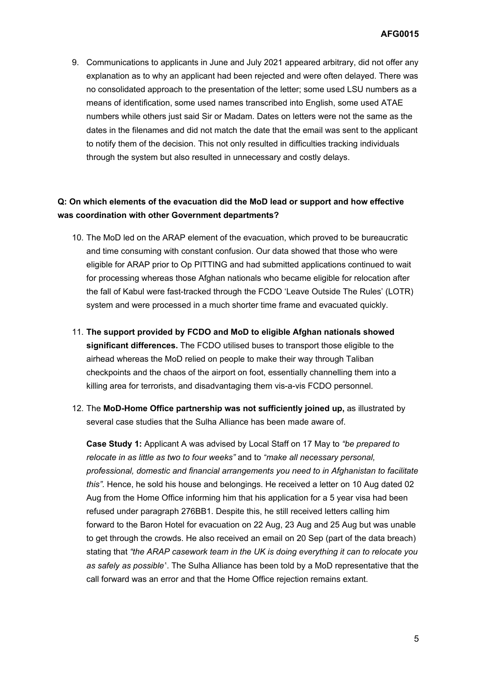9. Communications to applicants in June and July 2021 appeared arbitrary, did not offer any explanation as to why an applicant had been rejected and were often delayed. There was no consolidated approach to the presentation of the letter; some used LSU numbers as a means of identification, some used names transcribed into English, some used ATAE numbers while others just said Sir or Madam. Dates on letters were not the same as the dates in the filenames and did not match the date that the email was sent to the applicant to notify them of the decision. This not only resulted in difficulties tracking individuals through the system but also resulted in unnecessary and costly delays.

### **Q: On which elements of the evacuation did the MoD lead or support and how effective was coordination with other Government departments?**

- 10. The MoD led on the ARAP element of the evacuation, which proved to be bureaucratic and time consuming with constant confusion. Our data showed that those who were eligible for ARAP prior to Op PITTING and had submitted applications continued to wait for processing whereas those Afghan nationals who became eligible for relocation after the fall of Kabul were fast-tracked through the FCDO 'Leave Outside The Rules' (LOTR) system and were processed in a much shorter time frame and evacuated quickly.
- 11. **The support provided by FCDO and MoD to eligible Afghan nationals showed significant differences.** The FCDO utilised buses to transport those eligible to the airhead whereas the MoD relied on people to make their way through Taliban checkpoints and the chaos of the airport on foot, essentially channelling them into a killing area for terrorists, and disadvantaging them vis-a-vis FCDO personnel.
- 12. The **MoD-Home Office partnership was not sufficiently joined up,** as illustrated by several case studies that the Sulha Alliance has been made aware of.

**Case Study 1:** Applicant A was advised by Local Staff on 17 May to *"be prepared to relocate in as little as two to four weeks"* and to *"make all necessary personal, professional, domestic and financial arrangements you need to in Afghanistan to facilitate this".* Hence, he sold his house and belongings. He received a letter on 10 Aug dated 02 Aug from the Home Office informing him that his application for a 5 year visa had been refused under paragraph 276BB1. Despite this, he still received letters calling him forward to the Baron Hotel for evacuation on 22 Aug, 23 Aug and 25 Aug but was unable to get through the crowds. He also received an email on 20 Sep (part of the data breach) stating that *"the ARAP casework team in the UK is doing everything it can to relocate you as safely as possible"*. The Sulha Alliance has been told by a MoD representative that the call forward was an error and that the Home Office rejection remains extant.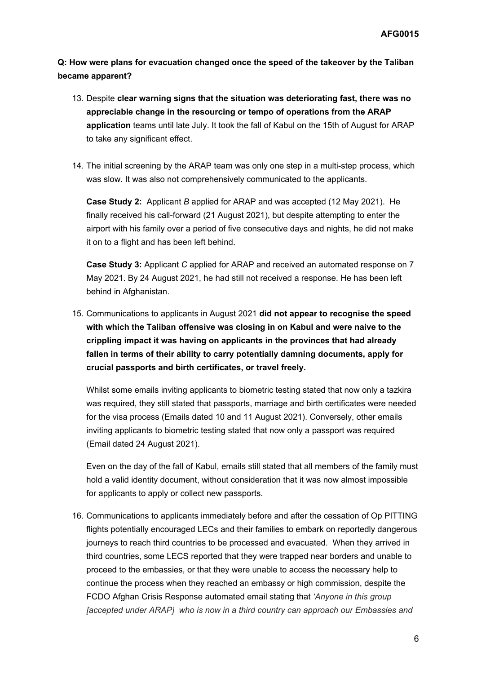**Q: How were plans for evacuation changed once the speed of the takeover by the Taliban became apparent?**

- 13. Despite **clear warning signs that the situation was deteriorating fast, there was no appreciable change in the resourcing or tempo of operations from the ARAP application** teams until late July. It took the fall of Kabul on the 15th of August for ARAP to take any significant effect.
- 14. The initial screening by the ARAP team was only one step in a multi-step process, which was slow. It was also not comprehensively communicated to the applicants.

**Case Study 2:** Applicant *B* applied for ARAP and was accepted (12 May 2021). He finally received his call-forward (21 August 2021), but despite attempting to enter the airport with his family over a period of five consecutive days and nights, he did not make it on to a flight and has been left behind.

**Case Study 3:** Applicant *C* applied for ARAP and received an automated response on 7 May 2021. By 24 August 2021, he had still not received a response. He has been left behind in Afghanistan.

15. Communications to applicants in August 2021 **did not appear to recognise the speed with which the Taliban offensive was closing in on Kabul and were naive to the crippling impact it was having on applicants in the provinces that had already fallen in terms of their ability to carry potentially damning documents, apply for crucial passports and birth certificates, or travel freely.**

Whilst some emails inviting applicants to biometric testing stated that now only a tazkira was required, they still stated that passports, marriage and birth certificates were needed for the visa process (Emails dated 10 and 11 August 2021). Conversely, other emails inviting applicants to biometric testing stated that now only a passport was required (Email dated 24 August 2021).

Even on the day of the fall of Kabul, emails still stated that all members of the family must hold a valid identity document, without consideration that it was now almost impossible for applicants to apply or collect new passports.

16. Communications to applicants immediately before and after the cessation of Op PITTING flights potentially encouraged LECs and their families to embark on reportedly dangerous journeys to reach third countries to be processed and evacuated. When they arrived in third countries, some LECS reported that they were trapped near borders and unable to proceed to the embassies, or that they were unable to access the necessary help to continue the process when they reached an embassy or high commission, despite the FCDO Afghan Crisis Response automated email stating that *'Anyone in this group [accepted under ARAP] who is now in a third country can approach our Embassies and*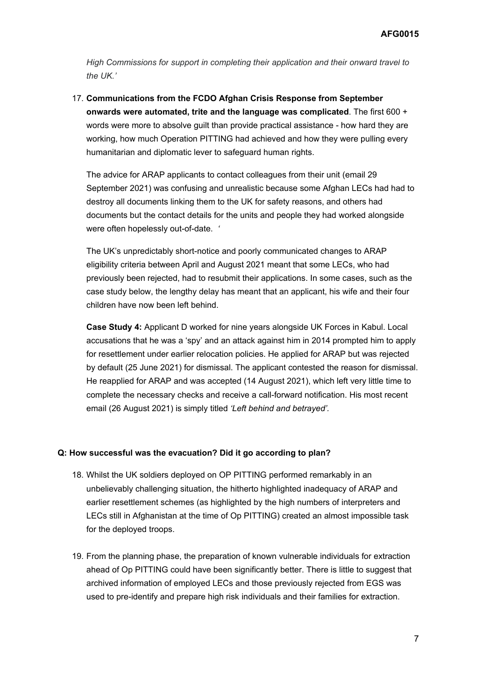*High Commissions for support in completing their application and their onward travel to the UK.'* 

17. **Communications from the FCDO Afghan Crisis Response from September onwards were automated, trite and the language was complicated**. The first 600 + words were more to absolve guilt than provide practical assistance - how hard they are working, how much Operation PITTING had achieved and how they were pulling every humanitarian and diplomatic lever to safeguard human rights.

The advice for ARAP applicants to contact colleagues from their unit (email 29 September 2021) was confusing and unrealistic because some Afghan LECs had had to destroy all documents linking them to the UK for safety reasons, and others had documents but the contact details for the units and people they had worked alongside were often hopelessly out-of-date. *'*

The UK's unpredictably short-notice and poorly communicated changes to ARAP eligibility criteria between April and August 2021 meant that some LECs, who had previously been rejected, had to resubmit their applications. In some cases, such as the case study below, the lengthy delay has meant that an applicant, his wife and their four children have now been left behind.

**Case Study 4:** Applicant D worked for nine years alongside UK Forces in Kabul. Local accusations that he was a 'spy' and an attack against him in 2014 prompted him to apply for resettlement under earlier relocation policies. He applied for ARAP but was rejected by default (25 June 2021) for dismissal. The applicant contested the reason for dismissal. He reapplied for ARAP and was accepted (14 August 2021), which left very little time to complete the necessary checks and receive a call-forward notification. His most recent email (26 August 2021) is simply titled *'Left behind and betrayed'.*

### **Q: How successful was the evacuation? Did it go according to plan?**

- 18. Whilst the UK soldiers deployed on OP PITTING performed remarkably in an unbelievably challenging situation, the hitherto highlighted inadequacy of ARAP and earlier resettlement schemes (as highlighted by the high numbers of interpreters and LECs still in Afghanistan at the time of Op PITTING) created an almost impossible task for the deployed troops.
- 19. From the planning phase, the preparation of known vulnerable individuals for extraction ahead of Op PITTING could have been significantly better. There is little to suggest that archived information of employed LECs and those previously rejected from EGS was used to pre-identify and prepare high risk individuals and their families for extraction.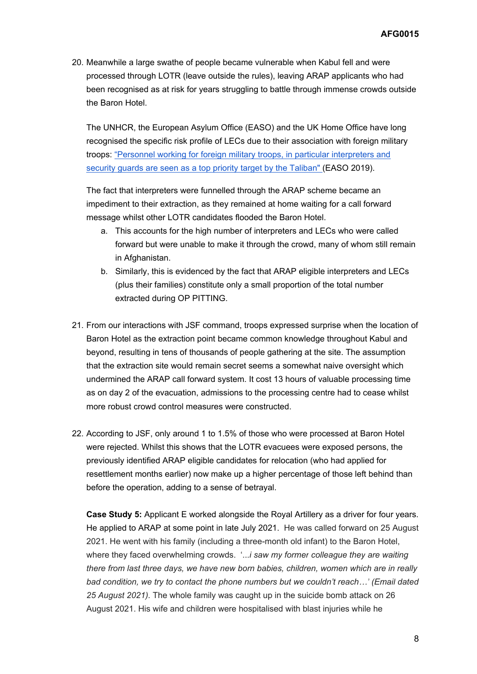20. Meanwhile a large swathe of people became vulnerable when Kabul fell and were processed through LOTR (leave outside the rules), leaving ARAP applicants who had been recognised as at risk for years struggling to battle through immense crowds outside the Baron Hotel.

The UNHCR, the European Asylum Office (EASO) and the UK Home Office have long recognised the specific risk profile of LECs due to their association with foreign military troops: ["Personnel](https://www.easo.europa.eu/sites/default/files/Country_Guidance_Afghanistan_2019.pdf) [working](https://www.easo.europa.eu/sites/default/files/Country_Guidance_Afghanistan_2019.pdf) [for](https://www.easo.europa.eu/sites/default/files/Country_Guidance_Afghanistan_2019.pdf) [foreign](https://www.easo.europa.eu/sites/default/files/Country_Guidance_Afghanistan_2019.pdf) [military](https://www.easo.europa.eu/sites/default/files/Country_Guidance_Afghanistan_2019.pdf) [troops,](https://www.easo.europa.eu/sites/default/files/Country_Guidance_Afghanistan_2019.pdf) [in](https://www.easo.europa.eu/sites/default/files/Country_Guidance_Afghanistan_2019.pdf) [particular](https://www.easo.europa.eu/sites/default/files/Country_Guidance_Afghanistan_2019.pdf) [interpreters](https://www.easo.europa.eu/sites/default/files/Country_Guidance_Afghanistan_2019.pdf) [and](https://www.easo.europa.eu/sites/default/files/Country_Guidance_Afghanistan_2019.pdf) [security](https://www.easo.europa.eu/sites/default/files/Country_Guidance_Afghanistan_2019.pdf) [guards](https://www.easo.europa.eu/sites/default/files/Country_Guidance_Afghanistan_2019.pdf) [are](https://www.easo.europa.eu/sites/default/files/Country_Guidance_Afghanistan_2019.pdf) [seen](https://www.easo.europa.eu/sites/default/files/Country_Guidance_Afghanistan_2019.pdf) [as](https://www.easo.europa.eu/sites/default/files/Country_Guidance_Afghanistan_2019.pdf) [a](https://www.easo.europa.eu/sites/default/files/Country_Guidance_Afghanistan_2019.pdf) [top](https://www.easo.europa.eu/sites/default/files/Country_Guidance_Afghanistan_2019.pdf) [priority](https://www.easo.europa.eu/sites/default/files/Country_Guidance_Afghanistan_2019.pdf) [target](https://www.easo.europa.eu/sites/default/files/Country_Guidance_Afghanistan_2019.pdf) [by](https://www.easo.europa.eu/sites/default/files/Country_Guidance_Afghanistan_2019.pdf) [the](https://www.easo.europa.eu/sites/default/files/Country_Guidance_Afghanistan_2019.pdf) [Taliban"](https://www.easo.europa.eu/sites/default/files/Country_Guidance_Afghanistan_2019.pdf) [\(](https://www.easo.europa.eu/sites/default/files/Country_Guidance_Afghanistan_2019.pdf)EASO 2019).

The fact that interpreters were funnelled through the ARAP scheme became an impediment to their extraction, as they remained at home waiting for a call forward message whilst other LOTR candidates flooded the Baron Hotel.

- a. This accounts for the high number of interpreters and LECs who were called forward but were unable to make it through the crowd, many of whom still remain in Afghanistan.
- b. Similarly, this is evidenced by the fact that ARAP eligible interpreters and LECs (plus their families) constitute only a small proportion of the total number extracted during OP PITTING.
- 21. From our interactions with JSF command, troops expressed surprise when the location of Baron Hotel as the extraction point became common knowledge throughout Kabul and beyond, resulting in tens of thousands of people gathering at the site. The assumption that the extraction site would remain secret seems a somewhat naive oversight which undermined the ARAP call forward system. It cost 13 hours of valuable processing time as on day 2 of the evacuation, admissions to the processing centre had to cease whilst more robust crowd control measures were constructed.
- 22. According to JSF, only around 1 to 1.5% of those who were processed at Baron Hotel were rejected. Whilst this shows that the LOTR evacuees were exposed persons, the previously identified ARAP eligible candidates for relocation (who had applied for resettlement months earlier) now make up a higher percentage of those left behind than before the operation, adding to a sense of betrayal.

**Case Study 5:** Applicant E worked alongside the Royal Artillery as a driver for four years. He applied to ARAP at some point in late July 2021. He was called forward on 25 August 2021. He went with his family (including a three-month old infant) to the Baron Hotel, where they faced overwhelming crowds. '...*i saw my former colleague they are waiting there from last three days, we have new born babies, children, women which are in really bad condition, we try to contact the phone numbers but we couldn't reach…' (Email dated 25 August 2021).* The whole family was caught up in the suicide bomb attack on 26 August 2021. His wife and children were hospitalised with blast injuries while he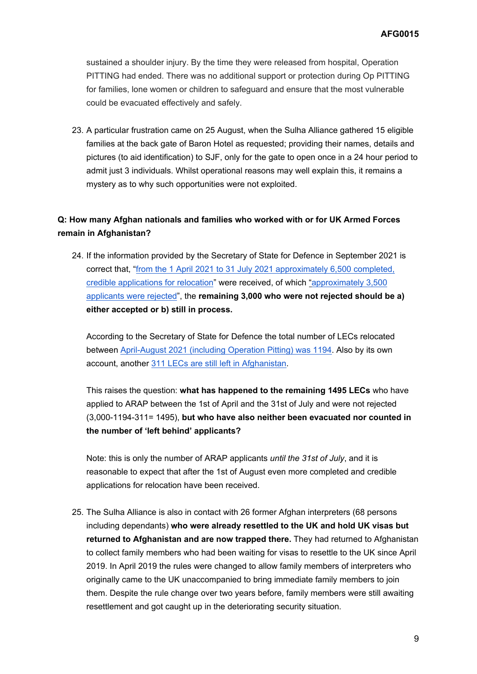sustained a shoulder injury. By the time they were released from hospital, Operation PITTING had ended. There was no additional support or protection during Op PITTING for families, lone women or children to safeguard and ensure that the most vulnerable could be evacuated effectively and safely.

23. A particular frustration came on 25 August, when the Sulha Alliance gathered 15 eligible families at the back gate of Baron Hotel as requested; providing their names, details and pictures (to aid identification) to SJF, only for the gate to open once in a 24 hour period to admit just 3 individuals. Whilst operational reasons may well explain this, it remains a mystery as to why such opportunities were not exploited.

### **Q: How many Afghan nationals and families who worked with or for UK Armed Forces remain in Afghanistan?**

24. If the information provided by the Secretary of State for Defence in September 2021 is correct that, "[from](https://questions-statements.parliament.uk/written-questions/detail/2021-09-06/43388) [the](https://questions-statements.parliament.uk/written-questions/detail/2021-09-06/43388) [1](https://questions-statements.parliament.uk/written-questions/detail/2021-09-06/43388) [April](https://questions-statements.parliament.uk/written-questions/detail/2021-09-06/43388) [2021](https://questions-statements.parliament.uk/written-questions/detail/2021-09-06/43388) [to](https://questions-statements.parliament.uk/written-questions/detail/2021-09-06/43388) [31](https://questions-statements.parliament.uk/written-questions/detail/2021-09-06/43388) [July](https://questions-statements.parliament.uk/written-questions/detail/2021-09-06/43388) [2021](https://questions-statements.parliament.uk/written-questions/detail/2021-09-06/43388) [approximately](https://questions-statements.parliament.uk/written-questions/detail/2021-09-06/43388) [6,500](https://questions-statements.parliament.uk/written-questions/detail/2021-09-06/43388) [completed,](https://questions-statements.parliament.uk/written-questions/detail/2021-09-06/43388) [credible](https://questions-statements.parliament.uk/written-questions/detail/2021-09-06/43388) [applications](https://questions-statements.parliament.uk/written-questions/detail/2021-09-06/43388) [for](https://questions-statements.parliament.uk/written-questions/detail/2021-09-06/43388) [relocation"](https://questions-statements.parliament.uk/written-questions/detail/2021-09-06/43388) were received, of which ["approximately](https://questions-statements.parliament.uk/written-questions/detail/2021-09-06/43388) [3,500](https://questions-statements.parliament.uk/written-questions/detail/2021-09-06/43388) [applicants](https://questions-statements.parliament.uk/written-questions/detail/2021-09-06/43388) [were](https://questions-statements.parliament.uk/written-questions/detail/2021-09-06/43388) [rejected](https://questions-statements.parliament.uk/written-questions/detail/2021-09-06/43388)", the **remaining 3,000 who were not rejected should be a) either accepted or b) still in process.**

According to the Secretary of State for Defence the total number of LECs relocated between [April-August](https://questions-statements.parliament.uk/written-questions/detail/2021-09-07/44193) [2021](https://questions-statements.parliament.uk/written-questions/detail/2021-09-07/44193) [\(including](https://questions-statements.parliament.uk/written-questions/detail/2021-09-07/44193) [Operation](https://questions-statements.parliament.uk/written-questions/detail/2021-09-07/44193) [Pitting\)](https://questions-statements.parliament.uk/written-questions/detail/2021-09-07/44193) [was](https://questions-statements.parliament.uk/written-questions/detail/2021-09-07/44193) [1194](https://questions-statements.parliament.uk/written-questions/detail/2021-09-07/44193). Also by its own account, another [311](https://hansard.parliament.uk/commons/2021-09-21/debates/349DF382-AD33-411F-BFBE-926F9E8906C0/DataBreachARAPApplicantsInAfghanistan) [LECs](https://hansard.parliament.uk/commons/2021-09-21/debates/349DF382-AD33-411F-BFBE-926F9E8906C0/DataBreachARAPApplicantsInAfghanistan) [are](https://hansard.parliament.uk/commons/2021-09-21/debates/349DF382-AD33-411F-BFBE-926F9E8906C0/DataBreachARAPApplicantsInAfghanistan) [still](https://hansard.parliament.uk/commons/2021-09-21/debates/349DF382-AD33-411F-BFBE-926F9E8906C0/DataBreachARAPApplicantsInAfghanistan) [left](https://hansard.parliament.uk/commons/2021-09-21/debates/349DF382-AD33-411F-BFBE-926F9E8906C0/DataBreachARAPApplicantsInAfghanistan) [in](https://hansard.parliament.uk/commons/2021-09-21/debates/349DF382-AD33-411F-BFBE-926F9E8906C0/DataBreachARAPApplicantsInAfghanistan) [Afghanistan.](https://hansard.parliament.uk/commons/2021-09-21/debates/349DF382-AD33-411F-BFBE-926F9E8906C0/DataBreachARAPApplicantsInAfghanistan)

This raises the question: **what has happened to the remaining 1495 LECs** who have applied to ARAP between the 1st of April and the 31st of July and were not rejected (3,000-1194-311= 1495), **but who have also neither been evacuated nor counted in the number of 'left behind' applicants?**

Note: this is only the number of ARAP applicants *until the 31st of July*, and it is reasonable to expect that after the 1st of August even more completed and credible applications for relocation have been received.

25. The Sulha Alliance is also in contact with 26 former Afghan interpreters (68 persons including dependants) **who were already resettled to the UK and hold UK visas but returned to Afghanistan and are now trapped there.** They had returned to Afghanistan to collect family members who had been waiting for visas to resettle to the UK since April 2019. In April 2019 the rules were changed to allow family members of interpreters who originally came to the UK unaccompanied to bring immediate family members to join them. Despite the rule change over two years before, family members were still awaiting resettlement and got caught up in the deteriorating security situation.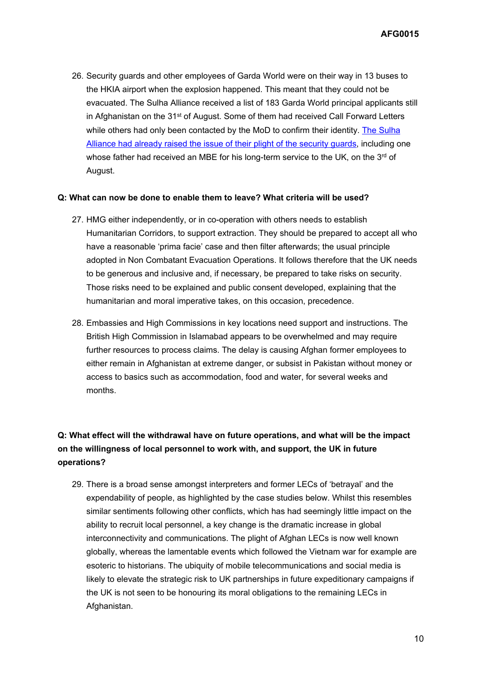**AFG0015**

26. Security guards and other employees of Garda World were on their way in 13 buses to the HKIA airport when the explosion happened. This meant that they could not be evacuated. The Sulha Alliance received a list of 183 Garda World principal applicants still in Afghanistan on the 31<sup>st</sup> of August. Some of them had received Call Forward Letters while others had only been contacted by the MoD to confirm their identity. [The](https://www.dailymail.co.uk/news/article-9857967/His-father-won-MBE-loyal-Afghan-denied-sanctuary-Britain.html) [Sulha](https://www.dailymail.co.uk/news/article-9857967/His-father-won-MBE-loyal-Afghan-denied-sanctuary-Britain.html) [Alliance](https://www.dailymail.co.uk/news/article-9857967/His-father-won-MBE-loyal-Afghan-denied-sanctuary-Britain.html) [had](https://www.dailymail.co.uk/news/article-9857967/His-father-won-MBE-loyal-Afghan-denied-sanctuary-Britain.html) [already](https://www.dailymail.co.uk/news/article-9857967/His-father-won-MBE-loyal-Afghan-denied-sanctuary-Britain.html) [raised](https://www.dailymail.co.uk/news/article-9857967/His-father-won-MBE-loyal-Afghan-denied-sanctuary-Britain.html) [the](https://www.dailymail.co.uk/news/article-9857967/His-father-won-MBE-loyal-Afghan-denied-sanctuary-Britain.html) [issue](https://www.dailymail.co.uk/news/article-9857967/His-father-won-MBE-loyal-Afghan-denied-sanctuary-Britain.html) [of](https://www.dailymail.co.uk/news/article-9857967/His-father-won-MBE-loyal-Afghan-denied-sanctuary-Britain.html) [their](https://www.dailymail.co.uk/news/article-9857967/His-father-won-MBE-loyal-Afghan-denied-sanctuary-Britain.html) [plight](https://www.dailymail.co.uk/news/article-9857967/His-father-won-MBE-loyal-Afghan-denied-sanctuary-Britain.html) [of](https://www.dailymail.co.uk/news/article-9857967/His-father-won-MBE-loyal-Afghan-denied-sanctuary-Britain.html) [the](https://www.dailymail.co.uk/news/article-9857967/His-father-won-MBE-loyal-Afghan-denied-sanctuary-Britain.html) [security](https://www.dailymail.co.uk/news/article-9857967/His-father-won-MBE-loyal-Afghan-denied-sanctuary-Britain.html) [guards](https://www.dailymail.co.uk/news/article-9857967/His-father-won-MBE-loyal-Afghan-denied-sanctuary-Britain.html), including one whose father had received an MBE for his long-term service to the UK, on the 3<sup>rd</sup> of August.

#### **Q: What can now be done to enable them to leave? What criteria will be used?**

- 27. HMG either independently, or in co-operation with others needs to establish Humanitarian Corridors, to support extraction. They should be prepared to accept all who have a reasonable 'prima facie' case and then filter afterwards; the usual principle adopted in Non Combatant Evacuation Operations. It follows therefore that the UK needs to be generous and inclusive and, if necessary, be prepared to take risks on security. Those risks need to be explained and public consent developed, explaining that the humanitarian and moral imperative takes, on this occasion, precedence.
- 28. Embassies and High Commissions in key locations need support and instructions. The British High Commission in Islamabad appears to be overwhelmed and may require further resources to process claims. The delay is causing Afghan former employees to either remain in Afghanistan at extreme danger, or subsist in Pakistan without money or access to basics such as accommodation, food and water, for several weeks and months.

# **Q: What effect will the withdrawal have on future operations, and what will be the impact on the willingness of local personnel to work with, and support, the UK in future operations?**

29. There is a broad sense amongst interpreters and former LECs of 'betrayal' and the expendability of people, as highlighted by the case studies below. Whilst this resembles similar sentiments following other conflicts, which has had seemingly little impact on the ability to recruit local personnel, a key change is the dramatic increase in global interconnectivity and communications. The plight of Afghan LECs is now well known globally, whereas the lamentable events which followed the Vietnam war for example are esoteric to historians. The ubiquity of mobile telecommunications and social media is likely to elevate the strategic risk to UK partnerships in future expeditionary campaigns if the UK is not seen to be honouring its moral obligations to the remaining LECs in Afghanistan.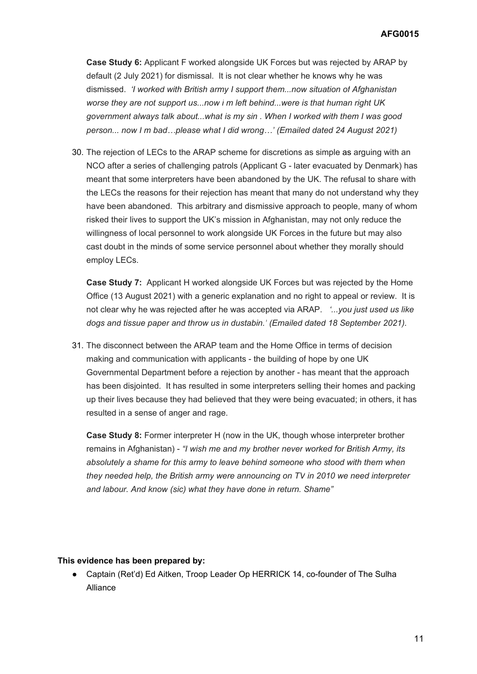**Case Study 6:** Applicant F worked alongside UK Forces but was rejected by ARAP by default (2 July 2021) for dismissal. It is not clear whether he knows why he was dismissed. *'I worked with British army I support them...now situation of Afghanistan worse they are not support us...now i m left behind...were is that human right UK government always talk about...what is my sin . When I worked with them I was good person... now I m bad…please what I did wrong…' (Emailed dated 24 August 2021)* 

30. The rejection of LECs to the ARAP scheme for discretions as simple as arguing with an NCO after a series of challenging patrols (Applicant G - later evacuated by Denmark) has meant that some interpreters have been abandoned by the UK. The refusal to share with the LECs the reasons for their rejection has meant that many do not understand why they have been abandoned. This arbitrary and dismissive approach to people, many of whom risked their lives to support the UK's mission in Afghanistan, may not only reduce the willingness of local personnel to work alongside UK Forces in the future but may also cast doubt in the minds of some service personnel about whether they morally should employ LECs.

**Case Study 7:** Applicant H worked alongside UK Forces but was rejected by the Home Office (13 August 2021) with a generic explanation and no right to appeal or review. It is not clear why he was rejected after he was accepted via ARAP. *'...you just used us like dogs and tissue paper and throw us in dustabin.' (Emailed dated 18 September 2021).*

31. The disconnect between the ARAP team and the Home Office in terms of decision making and communication with applicants - the building of hope by one UK Governmental Department before a rejection by another - has meant that the approach has been disjointed. It has resulted in some interpreters selling their homes and packing up their lives because they had believed that they were being evacuated; in others, it has resulted in a sense of anger and rage.

**Case Study 8:** Former interpreter H (now in the UK, though whose interpreter brother remains in Afghanistan) - *"I wish me and my brother never worked for British Army, its absolutely a shame for this army to leave behind someone who stood with them when they needed help, the British army were announcing on TV in 2010 we need interpreter and labour. And know (sic) what they have done in return. Shame"*

#### **This evidence has been prepared by:**

● Captain (Ret'd) Ed Aitken, Troop Leader Op HERRICK 14, co-founder of The Sulha Alliance